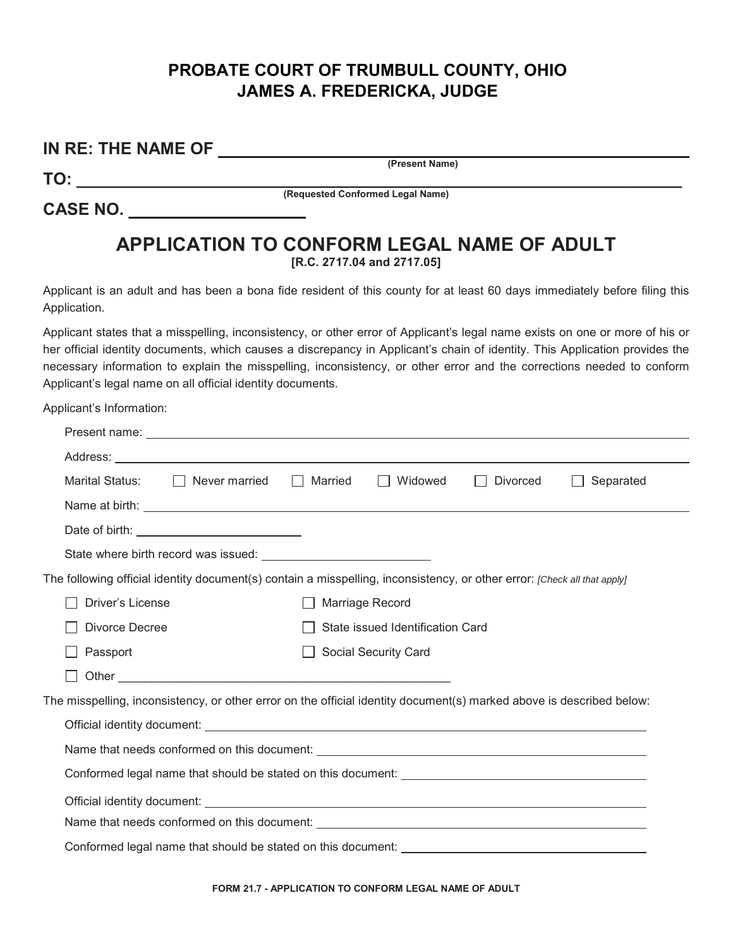## **PROBATE COURT OF TRUMBULL COUNTY, OHIO JAMES A. FREDERICKA, JUDGE**

## **IN RE: THE NAME OF**

**TO: \_\_\_\_\_\_\_\_\_\_\_\_\_\_\_\_\_\_\_\_\_\_\_\_\_\_\_\_\_\_\_\_\_\_\_\_\_\_\_\_\_\_\_\_\_\_\_\_\_\_\_\_\_\_\_\_\_\_\_\_\_\_\_\_\_**

**(Present Name)**

**CASE NO. \_\_\_\_\_\_\_\_\_\_\_\_\_\_\_\_\_\_\_**

**(Requested Conformed Legal Name)**

## **APPLICATION TO CONFORM LEGAL NAME OF ADULT [R.C. 2717.04 and 2717.05]**

Applicant is an adult and has been a bona fide resident of this county for at least 60 days immediately before filing this Application.

Applicant states that a misspelling, inconsistency, or other error of Applicant's legal name exists on one or more of his or her official identity documents, which causes a discrepancy in Applicant's chain of identity. This Application provides the necessary information to explain the misspelling, inconsistency, or other error and the corrections needed to conform Applicant's legal name on all official identity documents.

Applicant's Information:

| Marital Status:<br>Never married   Married                                                                                                                                                                                           | Widowed<br>Divorced<br>Separated<br>and the property<br>$\perp$ |  |  |  |  |  |  |
|--------------------------------------------------------------------------------------------------------------------------------------------------------------------------------------------------------------------------------------|-----------------------------------------------------------------|--|--|--|--|--|--|
| Name at birth: <u>example and the contract of the contract of the contract of the contract of the contract of the contract of the contract of the contract of the contract of the contract of the contract of the contract of th</u> |                                                                 |  |  |  |  |  |  |
| Date of birth: <u>contained</u>                                                                                                                                                                                                      |                                                                 |  |  |  |  |  |  |
|                                                                                                                                                                                                                                      |                                                                 |  |  |  |  |  |  |
| The following official identity document(s) contain a misspelling, inconsistency, or other error: [Check all that apply]                                                                                                             |                                                                 |  |  |  |  |  |  |
| Driver's License<br>Marriage Record                                                                                                                                                                                                  |                                                                 |  |  |  |  |  |  |
| State issued Identification Card<br>Divorce Decree                                                                                                                                                                                   |                                                                 |  |  |  |  |  |  |
| Passport                                                                                                                                                                                                                             | <b>Social Security Card</b>                                     |  |  |  |  |  |  |
|                                                                                                                                                                                                                                      |                                                                 |  |  |  |  |  |  |
| The misspelling, inconsistency, or other error on the official identity document(s) marked above is described below:                                                                                                                 |                                                                 |  |  |  |  |  |  |
|                                                                                                                                                                                                                                      |                                                                 |  |  |  |  |  |  |
|                                                                                                                                                                                                                                      |                                                                 |  |  |  |  |  |  |
|                                                                                                                                                                                                                                      |                                                                 |  |  |  |  |  |  |
|                                                                                                                                                                                                                                      |                                                                 |  |  |  |  |  |  |
|                                                                                                                                                                                                                                      |                                                                 |  |  |  |  |  |  |
|                                                                                                                                                                                                                                      |                                                                 |  |  |  |  |  |  |
|                                                                                                                                                                                                                                      |                                                                 |  |  |  |  |  |  |